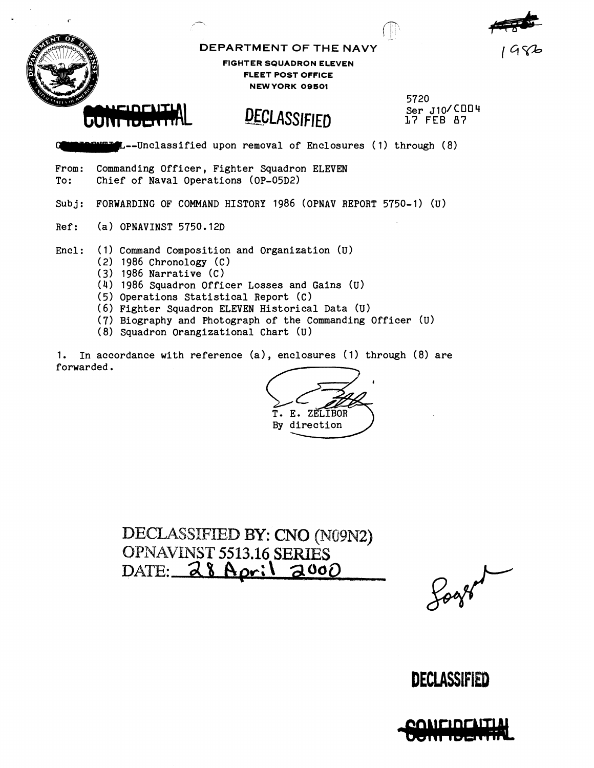|                         | DEPARTMENT OF THE NAVY                                                                                                                                                                                                                                                                                                                                         | 1982                                 |  |  |  |  |  |  |  |  |
|-------------------------|----------------------------------------------------------------------------------------------------------------------------------------------------------------------------------------------------------------------------------------------------------------------------------------------------------------------------------------------------------------|--------------------------------------|--|--|--|--|--|--|--|--|
| <b>A</b>                | <b>FIGHTER SQUADRON ELEVEN</b><br><b>FLEET POST OFFICE</b><br><b>NEW YORK 09501</b>                                                                                                                                                                                                                                                                            |                                      |  |  |  |  |  |  |  |  |
|                         | CONFIDENTIAL<br>DECLASSIFIED                                                                                                                                                                                                                                                                                                                                   | 5720<br>Ser $J10$ /COO4<br>17 FEB 87 |  |  |  |  |  |  |  |  |
|                         | <b>EL-C</b> L-Unclassified upon removal of Enclosures (1) through (8)                                                                                                                                                                                                                                                                                          |                                      |  |  |  |  |  |  |  |  |
| From:<br>$\mathtt{To:}$ | Commanding Officer, Fighter Squadron ELEVEN<br>Chief of Naval Operations (OP-05D2)                                                                                                                                                                                                                                                                             |                                      |  |  |  |  |  |  |  |  |
| Subj:                   | FORWARDING OF COMMAND HISTORY 1986 (OPNAV REPORT 5750-1) (U)                                                                                                                                                                                                                                                                                                   |                                      |  |  |  |  |  |  |  |  |
| Ref:                    | $(a)$ OPNAVINST 5750.12D                                                                                                                                                                                                                                                                                                                                       |                                      |  |  |  |  |  |  |  |  |
| Encl:                   | (1) Command Composition and Organization (U)<br>$(2)$ 1986 Chronology $(C)$<br>$(3)$ 1986 Narrative $(C)$<br>(4) 1986 Squadron Officer Losses and Gains (U)<br>(5) Operations Statistical Report (C)<br>(6) Fighter Squadron ELEVEN Historical Data (U)<br>(7) Biography and Photograph of the Commanding Officer (U)<br>(8) Squadron Orangizational Chart (U) |                                      |  |  |  |  |  |  |  |  |

 $\ddot{\bullet}$ 

1. In accordance with reference (a), enclosures (1) through (8) are forwarded .

For the Commanding Ulticarry (U)<br>enclosures (1) through (8) are<br> $\overbrace{\text{F. E. ZELIBOR}}$ <br>By direction

**DECLASSIFIED BY: CNO (NG9N2)** OPXAVIVPNST **5513.16 SERIES**  DATE:  $28$  April 200

## **DECLASSIFIED**

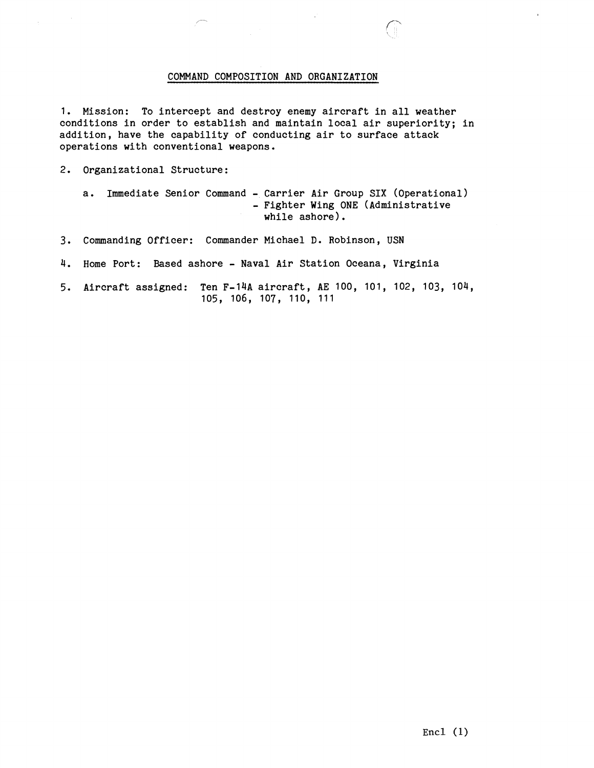#### COMMAND COMPOSITION AND ORGANIZATION

1. Mission: To intercept and destroy enemy aircraft in all weather conditions in order to establish and maintain local air superiority; in addition, have the capability of conducting air to surface attack operations with conventional weapons.

2. Organizational Structure:

a. Immediate Senior Command - Carrier Air Group SIX (Operational) - Fighter Wing ONE (Administrative while ashore).

- **3.** Commanding Officer: Commander Michael D. Robinson, USN
- 4. Home Port: Based ashore Naval Air Station Oceana, Virginia

5. Aircraft assigned: Ten F-14A aircraft, AE 100, 101, 102, 103, 104, 105, 106, 107, 110, 111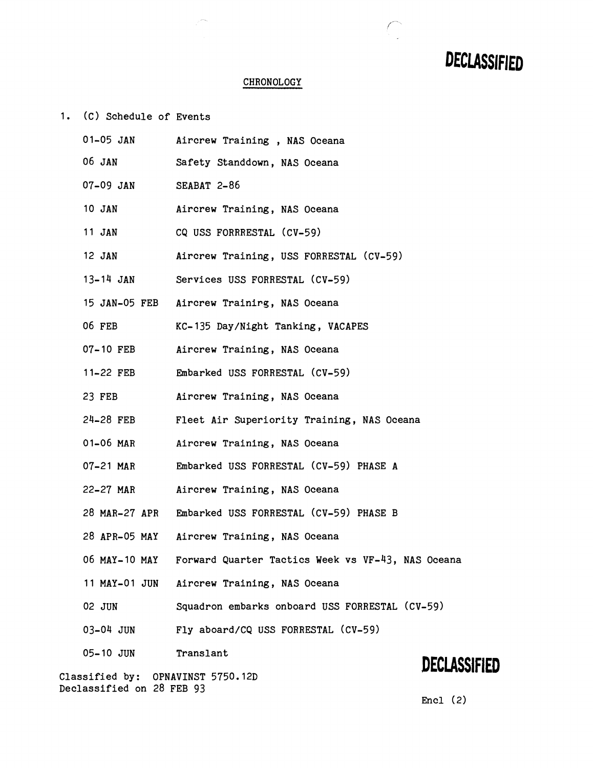# **DECLASSIFIED**

 $\begin{pmatrix} 1 & 1 \\ 1 & 1 \end{pmatrix}$ 

### **CHRONOLOGY**

1. (c) Schedule of Events

| $01-05$ JAN                                                    |             | Aircrew Training, NAS Oceana                         |              |
|----------------------------------------------------------------|-------------|------------------------------------------------------|--------------|
| 06 JAN                                                         |             | Safety Standdown, NAS Oceana                         |              |
| 07-09 JAN                                                      | SEABAT 2-86 |                                                      |              |
| 10 JAN                                                         |             | Aircrew Training, NAS Oceana                         |              |
| 11 JAN                                                         |             | CQ USS FORRRESTAL (CV-59)                            |              |
| 12 JAN                                                         |             | Aircrew Training, USS FORRESTAL (CV-59)              |              |
| $13 - 14$ JAN                                                  |             | Services USS FORRESTAL (CV-59)                       |              |
|                                                                |             | 15 JAN-05 FEB Aircrew Training, NAS Oceana           |              |
| 06 FEB                                                         |             | KC-135 Day/Night Tanking, VACAPES                    |              |
| 07-10 FEB                                                      |             | Aircrew Training, NAS Oceana                         |              |
| 11-22 FEB                                                      |             | Embarked USS FORRESTAL (CV-59)                       |              |
| 23 FEB                                                         |             | Aircrew Training, NAS Oceana                         |              |
| 24-28 FEB                                                      |             | Fleet Air Superiority Training, NAS Oceana           |              |
| 01-06 MAR                                                      |             | Aircrew Training, NAS Oceana                         |              |
| 07-21 MAR                                                      |             | Embarked USS FORRESTAL (CV-59) PHASE A               |              |
| 22-27 MAR                                                      |             | Aircrew Training, NAS Oceana                         |              |
|                                                                |             | 28 MAR-27 APR Embarked USS FORRESTAL (CV-59) PHASE B |              |
|                                                                |             | 28 APR-05 MAY Aircrew Training, NAS Oceana           |              |
| 06 MAY-10 MAY                                                  |             | Forward Quarter Tactics Week vs VF-43, NAS Oceana    |              |
|                                                                |             | 11 MAY-01 JUN Aircrew Training, NAS Oceana           |              |
| 02 JUN                                                         |             | Squadron embarks onboard USS FORRESTAL (CV-59)       |              |
| 03-04 JUN                                                      |             | Fly aboard/CQ USS FORRESTAL (CV-59)                  |              |
| $05 - 10$ JUN                                                  | Translant   |                                                      | DECLASSIFIED |
| Classified by: OPNAVINST 5750.12D<br>Declassified on 28 FEB 93 |             |                                                      |              |

Encl (2)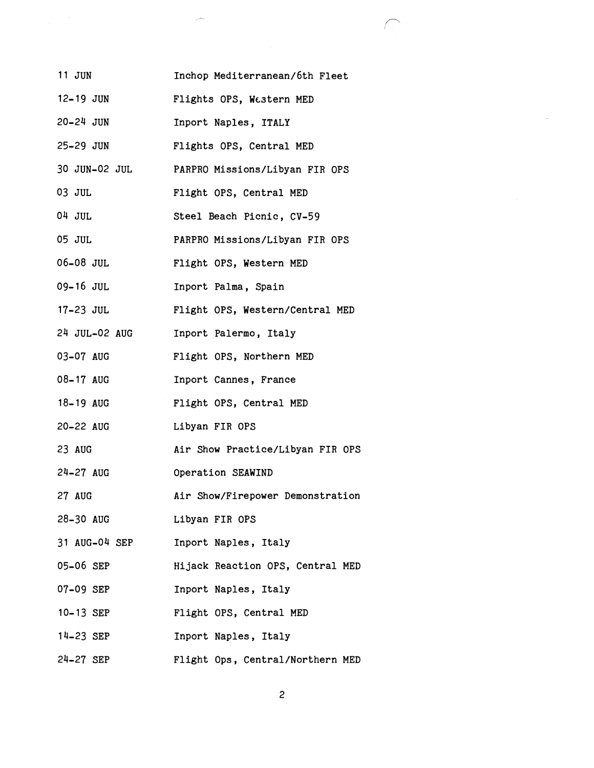| 11 JUN        | Inchop Mediterranean/6th Fleet   |
|---------------|----------------------------------|
| $12 - 19$ JUN | Flights OPS, Western MED         |
| 20-24 JUN     | Inport Naples, ITALY             |
| 25-29 JUN     | Flights OPS, Central MED         |
| 30 JUN-02 JUL | PARPRO Missions/Libyan FIR OPS   |
| 03 JUL        | Flight OPS, Central MED          |
| 04 JUL        | Steel Beach Picnic, CV-59        |
| 05 JUL        | PARPRO Missions/Libyan FIR OPS   |
| $06-08$ JUL   | Flight OPS, Western MED          |
| 09-16 JUL     | Inport Palma, Spain              |
| $17-23$ JUL   | Flight OPS, Western/Central MED  |
| 24 JUL-02 AUG | Inport Palermo, Italy            |
| 03-07 AUG     | Flight OPS, Northern MED         |
| 08-17 AUG     | Inport Cannes, France            |
| 18-19 AUG     | Flight OPS, Central MED          |
| 20-22 AUG     | Libyan FIR OPS                   |
| 23 AUG        | Air Show Practice/Libyan FIR OPS |
| $24-27$ AUG   | Operation SEAWIND                |
| 27 AUG        | Air Show/Firepower Demonstration |
| 28-30 AUG     | Libyan FIR OPS                   |
| 31 AUG-04 SEP | Inport Naples, Italy             |
| 05-06 SEP     | Hijack Reaction OPS, Central MED |
| 07-09 SEP     | Inport Naples, Italy             |
| 10-13 SEP     | Flight OPS, Central MED          |
| 14-23 SEP     | Inport Naples, Italy             |
| 24-27 SEP     | Flight Ops, Central/Northern MED |

 $\mathcal{P}^{\rm max}$ 

 $\sqrt{2}$ 

 $\sim$ 

 $\overline{c}$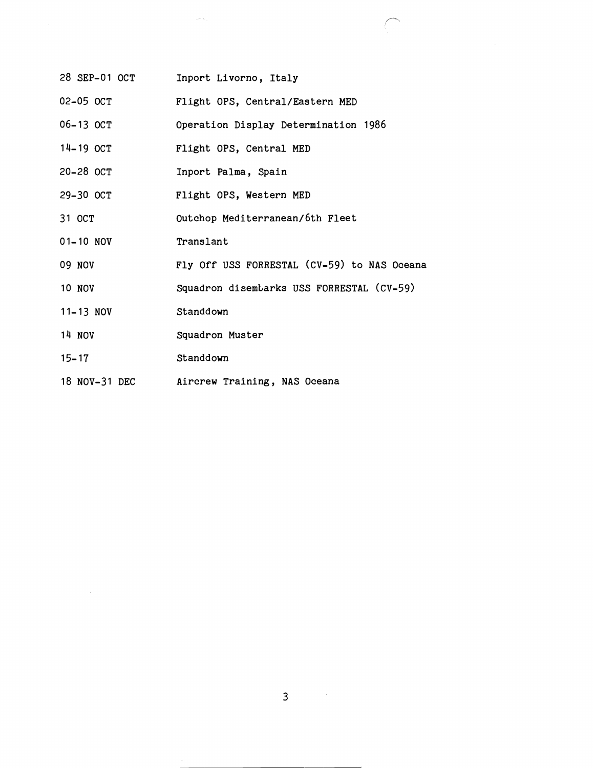| 28 SEP-01 OCT | Inport Livorno, Italy                       |
|---------------|---------------------------------------------|
| $02-05$ $0CT$ | Flight OPS, Central/Eastern MED             |
| 06-13 OCT     | Operation Display Determination 1986        |
| 14-19 OCT     | Flight OPS, Central MED                     |
| 20-28 OCT     | Inport Palma, Spain                         |
| 29-30 OCT     | Flight OPS, Western MED                     |
| 31 OCT        | Outchop Mediterranean/6th Fleet             |
| $01 - 10$ NOV | Translant                                   |
| <b>09 NOV</b> | Fly Off USS FORRESTAL (CV-59) to NAS Oceana |
| <b>10 NOV</b> | Squadron disembarks USS FORRESTAL (CV-59)   |
| 11-13 NOV     | Standdown                                   |
| 14 NOV        | Squadron Muster                             |
| $15 - 17$     | Standdown                                   |
| 18 NOV-31 DEC | Aircrew Training, NAS Oceana                |

 $\sim$ 

 $\alpha$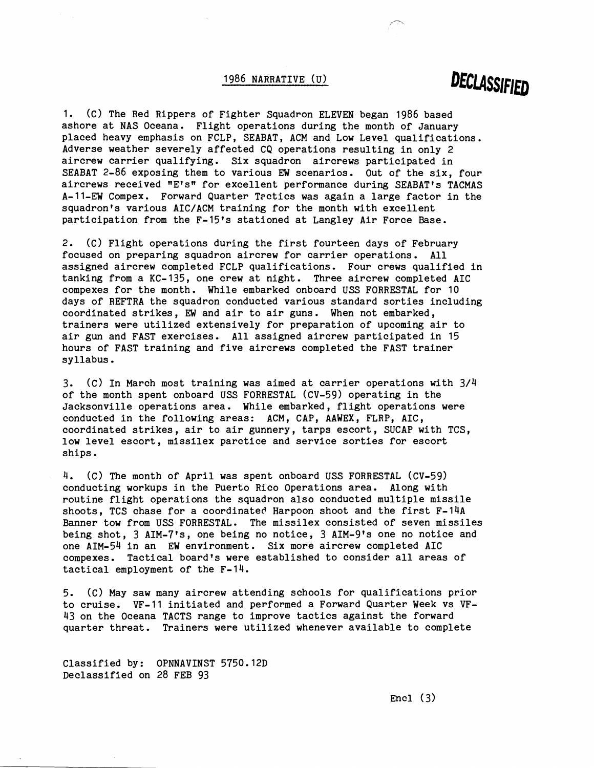#### 1986 NARRATIVE (U)

## DECLASSIFIED

1. (c) The Red Rippers of Fighter Squadron ELEVEN began 1986 based ashore at NAS Oceana. Flight operations during the month of January placed heavy emphasis on FCLP, SEABAT, ACM and Low Level qualifications. Adverse weather severely affected CQ operations resulting in only 2 aircrew carrier qualifying. Six squadron aircrews participated in SEABAT 2-86 exposing them to various EW scenarios. Out of the six, four aircrews received "E's" for excellent performance during SEABAT's TACMAS A-11-EW Compex. Forward Quarter Tectics was again a large factor in the squadron's various AIC/ACM training for the month with excellent participation from the F-15's stationed at Langley Air Force Base.

2. (C) Flight operations during the first fourteen days of February focused on preparing squadron aircrew for carrier operations. All assigned aircrew completed FCLP qualifications. Four crews qualified in tanking from a KC-135, one crew at night. Three aircrew completed AIC compexes for the month. While embarked onboard USS FORRESTAL for 10 days of REFTRA the squadron conducted various standard sorties including coordinated strikes, **EW** and air to air guns. When not embarked, trainers were utilized extensively for preparation of upcoming air to air gun and FAST exercises. All assigned aircrew participated in 15 hours of FAST training and five aircrews completed the FAST trainer syllabus.

3. (c) In March most training was aimed at carrier operations with 3/4 of the month spent onboard USS FORRESTAL (CV-59) operating in the Jacksonville operations area. While embarked, flight operations were conducted in the following areas: ACM, CAP, AAWEX, FLRP, AIC, coordinated strikes, air to air gunnery, tarps escort, SUCAP with TCS, low level escort, missilex parctice and service sorties for escort ships.

4. (C) The month of April was spent onboard USS FORRESTAL (CV-59) conducting workups in the Puerto Rico Operations area. Along with routine flight operations the squadron also conducted multiple missile shoots, TCS chase for a coordinated Harpoon shoot and the first F-14A Banner tow from USS FORRESTAL. The missilex consisted of seven missiles being shot, 3 AIM-7's, one being no notice, 3 AIM-9's one no notice and one AIM-54 in an EW environment. Six more aircrew completed AIC compexes. Tactical board's were established to consider all areas of tactical employment of the F-14.

5. (C) May saw many aircrew attending schools for qualifications prior to cruise. VF-11 initiated and performed a Forward Quarter Week vs VF-43 on the Oceana TACTS range to improve tactics against the forward quarter threat. Trainers were utilized whenever available to complete

Classified by: OPNNAVINST 5750.12D Declassified on 28 FEB 93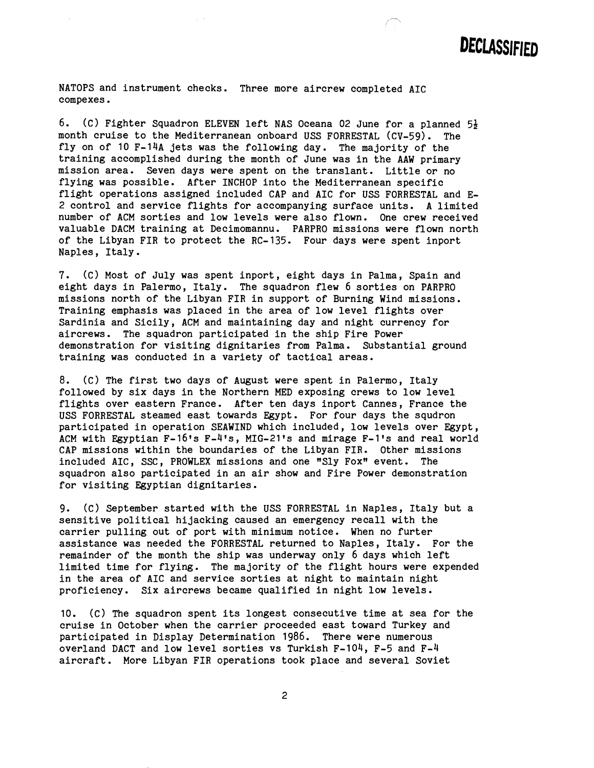

NATOPS and instrument checks. Three more aircrew completed AIC compexes .

6. (c) Fighter Squadron ELEVEN left NAS Oceana 02 June for a planned **54**  month cruise to the Mediterranean onboard USS FORRESTAL (CV-59). fly on of 10 F-14A jets was the following day. The majority of the training accomplished during the month of June was in the AAW primary mission area. Seven days were spent on the translant. Little or no flying was possible. After INCHOP into the Mediterranean specific flight operations assigned included CAP and AIC for USS FORRESTAL and E-2 control and service flights for accompanying surface units. A limited number of ACM sorties and low levels were also flown. One crew received valuable DACM training at Decimomannu. PARPRO missions were flown north of the Libyan FIR to protect the RC-135. Four days were spent inport Naples, Italy.

7. (c) Most of July was spent inport, eight days in Palma, Spain and eight days in Palermo, Italy. The squadron flew 6 sorties on PARPRO missions north of the Libyan FIR in support of Burning Wind missions. Training emphasis was placed in the area of low level flights over Sardinia and Sicily, ACM and maintaining day and night currency for aircrews. The squadron participated in the ship Fire Power demonstration for visiting dignitaries from Palma. Substantial ground training was conducted in a variety of tactical areas.

8. (C) The first two days of August were spent in Palermo, Italy followed by six days in the Northern MED exposing crews to low level flights over eastern France. After ten days inport Cannes, France the USS FORRESTAL steamed east towards Egypt. For four days the squdron participated in operation SEAWIND which included, low levels over Egypt, ACM with Egyptian F-16's F-4's, MIG-21's and mirage F-1's and real world CAP missions within the boundaries of the Libyan FIR. Other missions included AIC, SSC, PROWLEX missions and one "Sly Fox" event. The squadron also participated in an air show and Fire Power demonstration for visiting Egyptian dignitaries.

9. (c) September started with the USS FORRESTAL in Naples, Italy but a sensitive political hijacking caused an emergency recall with the carrier pulling out of port with minimum notice. When no furter assistance was needed the FORRESTAL returned to Naples, Italy. For the remainder of the month the ship was underway only 6 days which left limited time for flying. The majority of the flight hours were expended in the area of AIC and service sorties at night to maintain night proficiency. Six aircrews became qualified in night low levels.

10. (c) The squadron spent its longest consecutive time at sea for the cruise in October when the carrier proceeded east toward Turkey and participated in Display Determination 1986. There were numerous overland DACT and low level sorties vs Turkish F-104, F-5 and F-4 aircraft. More Libyan FIR operations took place and several Soviet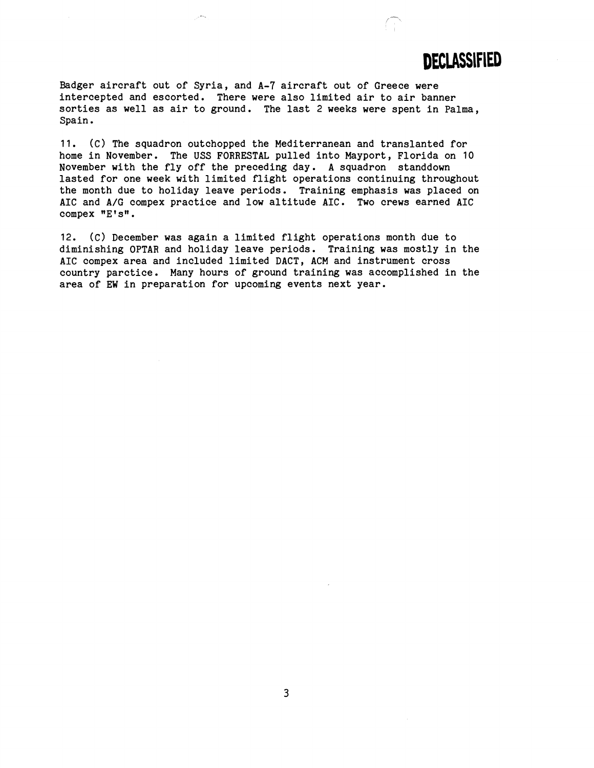## **DECLASSIFIED**

Badger aircraft out of Syria, and A-7 aircraft out of Greece were intercepted and escorted. There were also limited air to air banner sorties as well as air to ground. The last 2 weeks were spent in Palma, Spain.

11. (C) The squadron outchopped the Mediterranean and translanted for home in November. The USS FORRESTAL pulled into Mayport, Florida on 10 November with the fly off the preceding day. A squadron standdown lasted for one week with limited flight operations continuing throughout the month due to holiday leave periods. Training emphasis was placed on AIC and A/G compex practice and low altitude AIC. Two crews earned AIC compex "E's".

12. (C) December was again a limited flight operations month due to diminishing OPTAR and holiday leave periods. Training was mostly in the AIC compex area and included limited DACT, ACM and instrument cross country parctice. Many hours of ground training was accomplished in the area of EW in preparation for upcoming events next year.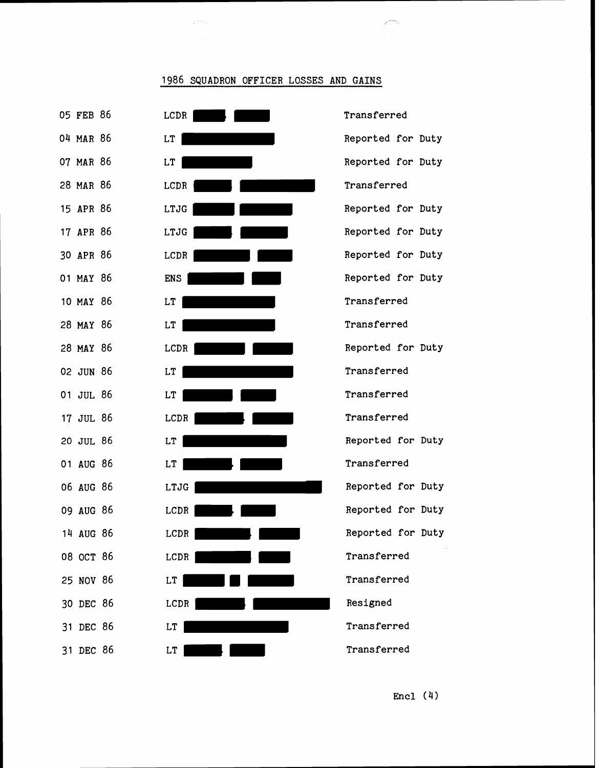

#### 1986 SQUADRON OFFICER LOSSES AND GAINS